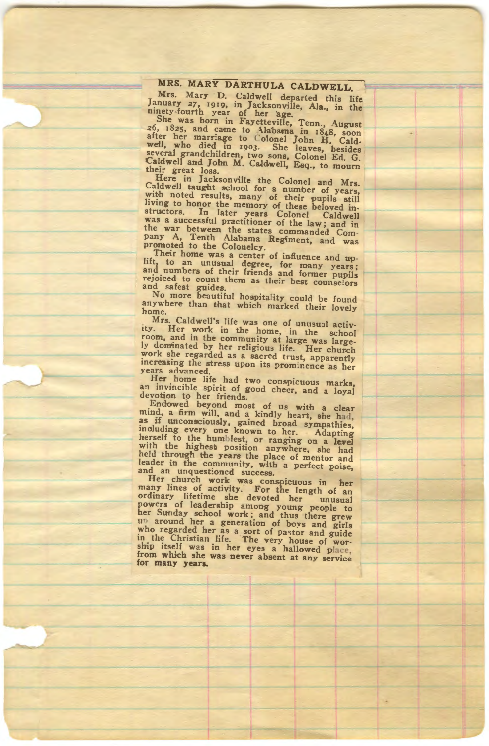**rd** Mary D. Caldwell departed this life is the started that is life is the started that is the started that  $\frac{1}{2}$  and  $\frac{1}{2}$  and  $\frac{1}{2}$  and  $\frac{1}{2}$  and  $\frac{1}{2}$  and  $\frac{1}{2}$  and  $\frac{1}{2}$  and  $\frac{1}{2}$  and **1919,** *its***-fourth year of her age.**<br> **12** was born in Fayetteville, Tenn., Amonst

one was born in rayetteville, ienn., August 26, 1825, and came to Alabama in 1848, soon<br>after her marriage to Colonel John H. Cald-<br>well, who died in 1903. She leaves, besides<br>several grandchildren, two sons, Colonel Ed. G **Example 2018**<br>There in Jacksonville the Colombia **1** 15

dwell taught school for a number of years,<br>h noted results, many of their pupils still<br>ng to honor the memory of these beloved in-<br>ng to honor the memory of these beloved in-<br>ctors. In later years Colonel Caldwell **a** successful practitioner of the law; and in war between the states commanded Com-<br>y A, Tenth Alabama Regiment, and was moted to the Colonelcy.<br>Their home was a center of influence and was

**h** to an unusual degree, for many years; <br> **Inumbers** of their friends and former pupils rejoiced to count them as their best counselors<br>and safest guides.<br>No more beautiful hospitality could be found

anywhere than that which marked their lovely ne.<br>Mrs. Caldwall's life

Her work in the home, in the school<br>m, and in the community at large was large-<br>dominated by her religious life. Her church **work** she regarded as a sacred trust, apparently increasing the stress upon its prominence as her years advanced. ars advanced.<br>Her home life had two **contained** 

an invincible spirit of good cheer, and a loyal devotion to her friends. **votion** to her friends.<br>Endowed hevond most of **us** with **change** 

ind, a firm will, and a kindly heart, she had,<br>if unconsciously, gained broad sympathies,<br>real to the humblest, or ranging on a level<br>real to the humblest, or ranging on a level ith the highest position anywhere, she had lid through the years the place of mentor and leader in the community, with a perfect poise, ader in the community, with a perfect poise,<br>id an unquestioned success.<br>**Her church work was conspicuous in the** 

nany lines of activity. For the length of an introducer in the devoted her compare of leadership among young people to er Sunday school work; and thus there grew the area agents of the comparison of boys and girls the Chri